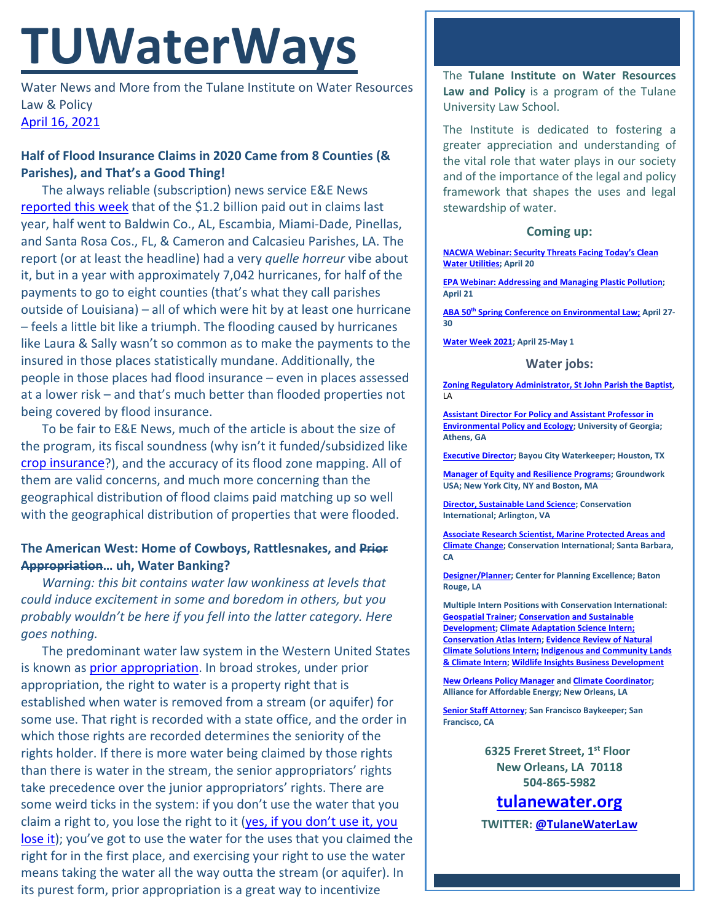# **TUWaterWays**

Water News and More from the Tulane Institute on Water Resources Law & Policy [April 16,](https://thisdayinwaterhistory.wordpress.com/) 2021

## **Half of Flood Insurance Claims in 2020 Came from 8 Counties (& Parishes), and That's a Good Thing!**

The always reliable (subscription) news service E&E News [reported this week](https://www.eenews.net/stories/1063729791) that of the \$1.2 billion paid out in claims last year, half went to Baldwin Co., AL, Escambia, Miami-Dade, Pinellas, and Santa Rosa Cos., FL, & Cameron and Calcasieu Parishes, LA. The report (or at least the headline) had a very *quelle horreur* vibe about it, but in a year with approximately 7,042 hurricanes, for half of the payments to go to eight counties (that's what they call parishes outside of Louisiana) – all of which were hit by at least one hurricane – feels a little bit like a triumph. The flooding caused by hurricanes like Laura & Sally wasn't so common as to make the payments to the insured in those places statistically mundane. Additionally, the people in those places had flood insurance – even in places assessed at a lower risk – and that's much better than flooded properties not being covered by flood insurance.

To be fair to E&E News, much of the article is about the size of the program, its fiscal soundness (why isn't it funded/subsidized like [crop insurance?](https://www.everycrsreport.com/reports/R45193.html)), and the accuracy of its flood zone mapping. All of them are valid concerns, and much more concerning than the geographical distribution of flood claims paid matching up so well with the geographical distribution of properties that were flooded.

### **The American West: Home of Cowboys, Rattlesnakes, and Prior Appropriation… uh, Water Banking?**

*Warning: this bit contains water law wonkiness at levels that could induce excitement in some and boredom in others, but you probably wouldn't be here if you fell into the latter category. Here goes nothing.*

The predominant water law system in the Western United States is known as [prior appropriation.](http://www.waterencyclopedia.com/Po-Re/Prior-Appropriation.html) In broad strokes, under prior appropriation, the right to water is a property right that is established when water is removed from a stream (or aquifer) for some use. That right is recorded with a state office, and the order in which those rights are recorded determines the seniority of the rights holder. If there is more water being claimed by those rights than there is water in the stream, the senior appropriators' rights take precedence over the junior appropriators' rights. There are some weird ticks in the system: if you don't use the water that you claim a right to, you lose the right to it [\(yes, if you don't use it, you](https://www.youtube.com/watch?v=HG_WIFLjnsM)  [lose it\)](https://www.youtube.com/watch?v=HG_WIFLjnsM); you've got to use the water for the uses that you claimed the right for in the first place, and exercising your right to use the water means taking the water all the way outta the stream (or aquifer). In its purest form, prior appropriation is a great way to incentivize

The **Tulane Institute on Water Resources Law and Policy** is a program of the Tulane University Law School.

The Institute is dedicated to fostering a greater appreciation and understanding of the vital role that water plays in our society and of the importance of the legal and policy framework that shapes the uses and legal stewardship of water.

#### **Coming up:**

**[NACWA Webinar: Security Threats Facing Today's Clean](https://www.nacwa.org/conferences-events/event-at-a-glance/2021/04/20/nacwa-events/hot-topics-webinar-series-part-1)  [Water Utilities;](https://www.nacwa.org/conferences-events/event-at-a-glance/2021/04/20/nacwa-events/hot-topics-webinar-series-part-1) April 20**

**[EPA Webinar: Addressing and Managing Plastic Pollution;](https://www.epa.gov/watershedacademy/upcoming-webcast-seminars) April 21**

**ABA 50th [Spring Conference on Environmental Law;](https://www.americanbar.org/groups/environment_energy_resources/events_cle/50th-spring-conference/) April 27- 30**

**[Water Week 2021;](https://www.nacwa.org/conferences-events/event-at-a-glance/2021/04/25/nacwa-events/water-week-2021) April 25-May 1**

#### **Water jobs:**

**[Zoning Regulatory Administrator, St John Parish the Baptist](https://recruiting2.ultipro.com/STJ1003SJBP/JobBoard/1ac63fc5-708a-46ee-93c5-6f21ad64bcd5/OpportunityDetail?opportunityId=d60ad66a-9689-4d56-8231-db7194c3f937)**, LA

**[Assistant Director For Policy and Assistant Professor in](https://www.ecology.uga.edu/assistant-professor-in-environmental-policy-and-ecology/)  [Environmental Policy and Ecology;](https://www.ecology.uga.edu/assistant-professor-in-environmental-policy-and-ecology/) University of Georgia; Athens, GA**

**[Executive Director;](https://bayoucitywaterkeeper.org/wp-content/uploads/2021/03/FINAL-BCWK-Executive-Director-Job-Description.pdf) Bayou City Waterkeeper; Houston, TX**

**[Manager of Equity and Resilience Programs;](https://groundworkusa.org/careers/) Groundwork USA; New York City, NY and Boston, MA**

**[Director, Sustainable Land Science;](https://phh.tbe.taleo.net/phh04/ats/careers/v2/viewRequisition?org=CONSERVATION&cws=39&rid=1439) Conservation International; Arlington, VA**

**[Associate Research Scientist, Marine Protected Areas and](https://phh.tbe.taleo.net/phh04/ats/careers/v2/viewRequisition?org=CONSERVATION&cws=39&rid=1440)  [Climate Change;](https://phh.tbe.taleo.net/phh04/ats/careers/v2/viewRequisition?org=CONSERVATION&cws=39&rid=1440) Conservation International; Santa Barbara, CA** 

**[Designer/Planner;](https://www.cpex.org/jobs) Center for Planning Excellence; Baton Rouge, LA**

**Multiple Intern Positions with Conservation International: [Geospatial Trainer;](https://phh.tbe.taleo.net/phh04/ats/careers/v2/viewRequisition?org=CONSERVATION&cws=39&rid=1448) [Conservation and Sustainable](https://phh.tbe.taleo.net/phh04/ats/careers/v2/viewRequisition?org=CONSERVATION&cws=39&rid=1451)  [Development;](https://phh.tbe.taleo.net/phh04/ats/careers/v2/viewRequisition?org=CONSERVATION&cws=39&rid=1451) [Climate Adaptation Science Intern;](https://phh.tbe.taleo.net/phh04/ats/careers/v2/viewRequisition?org=CONSERVATION&cws=39&rid=1455) [Conservation Atlas Intern;](https://phh.tbe.taleo.net/phh04/ats/careers/v2/viewRequisition?org=CONSERVATION&cws=39&rid=1461) [Evidence Review of Natural](https://phh.tbe.taleo.net/phh04/ats/careers/v2/viewRequisition?org=CONSERVATION&cws=39&rid=1464)  [Climate Solutions Intern;](https://phh.tbe.taleo.net/phh04/ats/careers/v2/viewRequisition?org=CONSERVATION&cws=39&rid=1464) [Indigenous and Community Lands](https://phh.tbe.taleo.net/phh04/ats/careers/v2/viewRequisition?org=CONSERVATION&cws=39&rid=1452)  [& Climate Intern;](https://phh.tbe.taleo.net/phh04/ats/careers/v2/viewRequisition?org=CONSERVATION&cws=39&rid=1452) [Wildlife Insights Business Development](https://phh.tbe.taleo.net/phh04/ats/careers/v2/viewRequisition?org=CONSERVATION&cws=39&rid=1457)**

**[New Orleans Policy Manager](https://www.all4energy.org/the-watchdog/were-hiring-aae-is-looking-for-a-new-orleans-policy-manager?utm_source=Alliance+for+Affordable+Energy&utm_campaign=cc48d94ee1-EMAIL_CAMPAIGN_2020_12_04_06_12_COPY_01&utm_medium=email&utm_term=0_96577798d7-cc48d94ee1-89434567) an[d Climate Coordinator;](https://www.all4energy.org/the-watchdog/were-hiring-aae-is-looking-for-a-climate-coordinator?utm_source=Alliance+for+Affordable+Energy&utm_campaign=cc48d94ee1-EMAIL_CAMPAIGN_2020_12_04_06_12_COPY_01&utm_medium=email&utm_term=0_96577798d7-cc48d94ee1-89434567) Alliance for Affordable Energy; New Orleans, LA**

**[Senior Staff Attorney;](https://baykeeper.org/about-baykeeper/jobs-and-internships#seniorattorney) San Francisco Baykeeper; San Francisco, CA**

> **6325 Freret Street, 1st Floor New Orleans, LA 70118 504-865-5982**

# **tulanewater.org**

**TWITTER: [@TulaneWaterLaw](http://www.twitter.com/TulaneWaterLaw)**